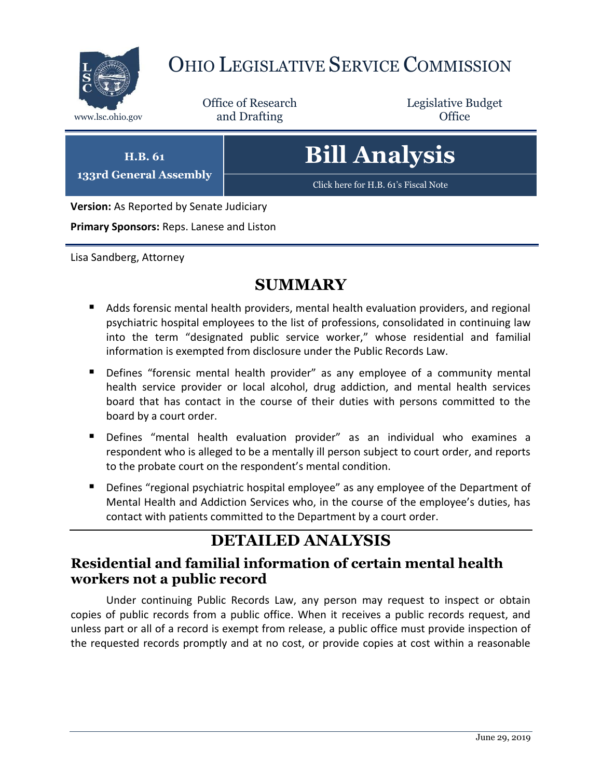

# OHIO LEGISLATIVE SERVICE COMMISSION

Office of Research www.lsc.ohio.gov and Drafting Control of Control of the Control of Control of the Control of Control of the Control of the Control of the Control of the Control of the Control of the Control of the Control of the Control o

Legislative Budget

**H.B. 61 133rd General Assembly** **Bill Analysis**

[Click here for H.B. 61](https://www.legislature.ohio.gov/legislation/legislation-documents?id=GA133-HB-61)'s Fiscal Note

**Version:** As Reported by Senate Judiciary

**Primary Sponsors:** Reps. Lanese and Liston

Lisa Sandberg, Attorney

### **SUMMARY**

- Adds forensic mental health providers, mental health evaluation providers, and regional psychiatric hospital employees to the list of professions, consolidated in continuing law into the term "designated public service worker," whose residential and familial information is exempted from disclosure under the Public Records Law.
- Defines "forensic mental health provider" as any employee of a community mental health service provider or local alcohol, drug addiction, and mental health services board that has contact in the course of their duties with persons committed to the board by a court order.
- Defines "mental health evaluation provider" as an individual who examines a respondent who is alleged to be a mentally ill person subject to court order, and reports to the probate court on the respondent's mental condition.
- **Defines "regional psychiatric hospital employee" as any employee of the Department of** Mental Health and Addiction Services who, in the course of the employee's duties, has contact with patients committed to the Department by a court order.

# **DETAILED ANALYSIS**

#### **Residential and familial information of certain mental health workers not a public record**

Under continuing Public Records Law, any person may request to inspect or obtain copies of public records from a public office. When it receives a public records request, and unless part or all of a record is exempt from release, a public office must provide inspection of the requested records promptly and at no cost, or provide copies at cost within a reasonable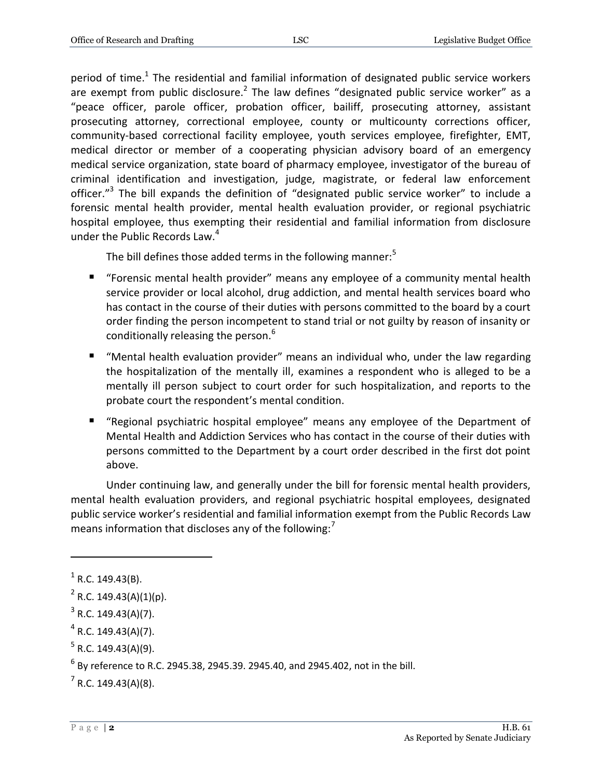period of time.<sup>1</sup> The residential and familial information of designated public service workers are exempt from public disclosure.<sup>2</sup> The law defines "designated public service worker" as a "peace officer, parole officer, probation officer, bailiff, prosecuting attorney, assistant prosecuting attorney, correctional employee, county or multicounty corrections officer, community-based correctional facility employee, youth services employee, firefighter, EMT, medical director or member of a cooperating physician advisory board of an emergency medical service organization, state board of pharmacy employee, investigator of the bureau of criminal identification and investigation, judge, magistrate, or federal law enforcement officer."<sup>3</sup> The bill expands the definition of "designated public service worker" to include a forensic mental health provider, mental health evaluation provider, or regional psychiatric hospital employee, thus exempting their residential and familial information from disclosure under the Public Records Law.<sup>4</sup>

The bill defines those added terms in the following manner: $5$ 

- "Forensic mental health provider" means any employee of a community mental health service provider or local alcohol, drug addiction, and mental health services board who has contact in the course of their duties with persons committed to the board by a court order finding the person incompetent to stand trial or not guilty by reason of insanity or conditionally releasing the person.<sup>6</sup>
- "Mental health evaluation provider" means an individual who, under the law regarding the hospitalization of the mentally ill, examines a respondent who is alleged to be a mentally ill person subject to court order for such hospitalization, and reports to the probate court the respondent's mental condition.
- "Regional psychiatric hospital employee" means any employee of the Department of Mental Health and Addiction Services who has contact in the course of their duties with persons committed to the Department by a court order described in the first dot point above.

Under continuing law, and generally under the bill for forensic mental health providers, mental health evaluation providers, and regional psychiatric hospital employees, designated public service worker's residential and familial information exempt from the Public Records Law means information that discloses any of the following: $<sup>7</sup>$ </sup>

 $<sup>1</sup>$  R.C. 149.43(B).</sup>

 $2$  R.C. 149.43(A)(1)(p).

 $3$  R.C. 149.43(A)(7).

 $4$  R.C. 149.43(A)(7).

 $5$  R.C. 149.43(A)(9).

 $^6$  By reference to R.C. 2945.38, 2945.39. 2945.40, and 2945.402, not in the bill.

 $7$  R.C. 149.43(A)(8).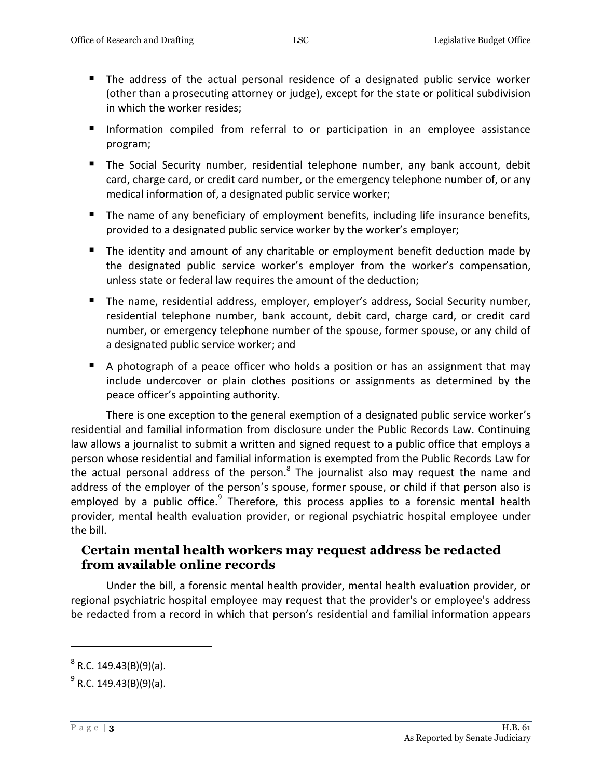- The address of the actual personal residence of a designated public service worker (other than a prosecuting attorney or judge), except for the state or political subdivision in which the worker resides;
- **Information compiled from referral to or participation in an employee assistance** program;
- The Social Security number, residential telephone number, any bank account, debit card, charge card, or credit card number, or the emergency telephone number of, or any medical information of, a designated public service worker;
- The name of any beneficiary of employment benefits, including life insurance benefits, provided to a designated public service worker by the worker's employer;
- The identity and amount of any charitable or employment benefit deduction made by the designated public service worker's employer from the worker's compensation, unless state or federal law requires the amount of the deduction;
- The name, residential address, employer, employer's address, Social Security number, residential telephone number, bank account, debit card, charge card, or credit card number, or emergency telephone number of the spouse, former spouse, or any child of a designated public service worker; and
- A photograph of a peace officer who holds a position or has an assignment that may include undercover or plain clothes positions or assignments as determined by the peace officer's appointing authority.

There is one exception to the general exemption of a designated public service worker's residential and familial information from disclosure under the Public Records Law. Continuing law allows a journalist to submit a written and signed request to a public office that employs a person whose residential and familial information is exempted from the Public Records Law for the actual personal address of the person.<sup>8</sup> The journalist also may request the name and address of the employer of the person's spouse, former spouse, or child if that person also is employed by a public office.<sup>9</sup> Therefore, this process applies to a forensic mental health provider, mental health evaluation provider, or regional psychiatric hospital employee under the bill.

#### **Certain mental health workers may request address be redacted from available online records**

Under the bill, a forensic mental health provider, mental health evaluation provider, or regional psychiatric hospital employee may request that the provider's or employee's address be redacted from a record in which that person's residential and familial information appears

 $^8$  R.C. 149.43(B)(9)(a).

<sup>&</sup>lt;sup>9</sup> R.C. 149.43(B)(9)(a).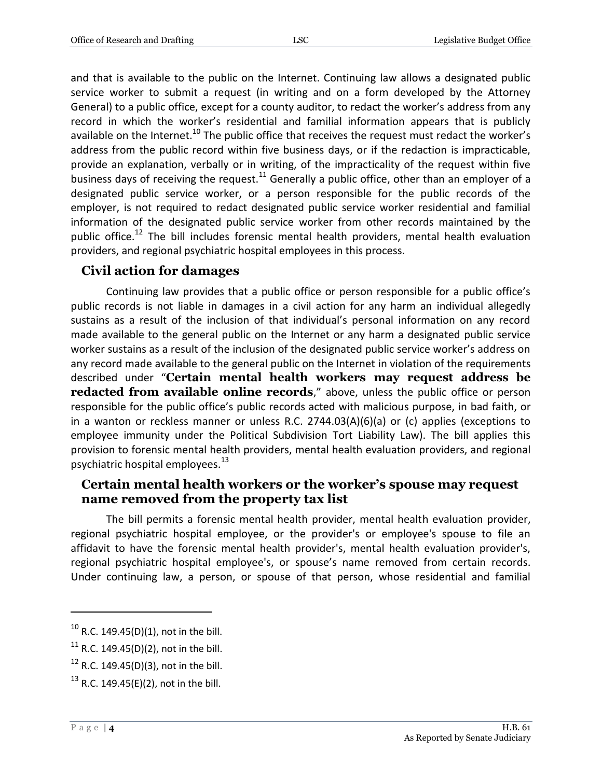and that is available to the public on the Internet. Continuing law allows a designated public service worker to submit a request (in writing and on a form developed by the Attorney General) to a public office, except for a county auditor, to redact the worker's address from any record in which the worker's residential and familial information appears that is publicly available on the Internet.<sup>10</sup> The public office that receives the request must redact the worker's address from the public record within five business days, or if the redaction is impracticable, provide an explanation, verbally or in writing, of the impracticality of the request within five business days of receiving the request.<sup>11</sup> Generally a public office, other than an employer of a designated public service worker, or a person responsible for the public records of the employer, is not required to redact designated public service worker residential and familial information of the designated public service worker from other records maintained by the public office.<sup>12</sup> The bill includes forensic mental health providers, mental health evaluation providers, and regional psychiatric hospital employees in this process.

#### **Civil action for damages**

Continuing law provides that a public office or person responsible for a public office's public records is not liable in damages in a civil action for any harm an individual allegedly sustains as a result of the inclusion of that individual's personal information on any record made available to the general public on the Internet or any harm a designated public service worker sustains as a result of the inclusion of the designated public service worker's address on any record made available to the general public on the Internet in violation of the requirements described under "**Certain mental health workers may request address be redacted from available online records**," above, unless the public office or person responsible for the public office's public records acted with malicious purpose, in bad faith, or in a wanton or reckless manner or unless R.C. 2744.03(A)(6)(a) or (c) applies (exceptions to employee immunity under the Political Subdivision Tort Liability Law). The bill applies this provision to forensic mental health providers, mental health evaluation providers, and regional psychiatric hospital employees. $^{13}$ 

#### **Certain mental health workers or the worker's spouse may request name removed from the property tax list**

The bill permits a forensic mental health provider, mental health evaluation provider, regional psychiatric hospital employee, or the provider's or employee's spouse to file an affidavit to have the forensic mental health provider's, mental health evaluation provider's, regional psychiatric hospital employee's, or spouse's name removed from certain records. Under continuing law, a person, or spouse of that person, whose residential and familial

 $10$  R.C. 149.45(D)(1), not in the bill.

<sup>&</sup>lt;sup>11</sup> R.C. 149.45(D)(2), not in the bill.

 $12$  R.C. 149.45(D)(3), not in the bill.

<sup>&</sup>lt;sup>13</sup> R.C. 149.45(E)(2), not in the bill.